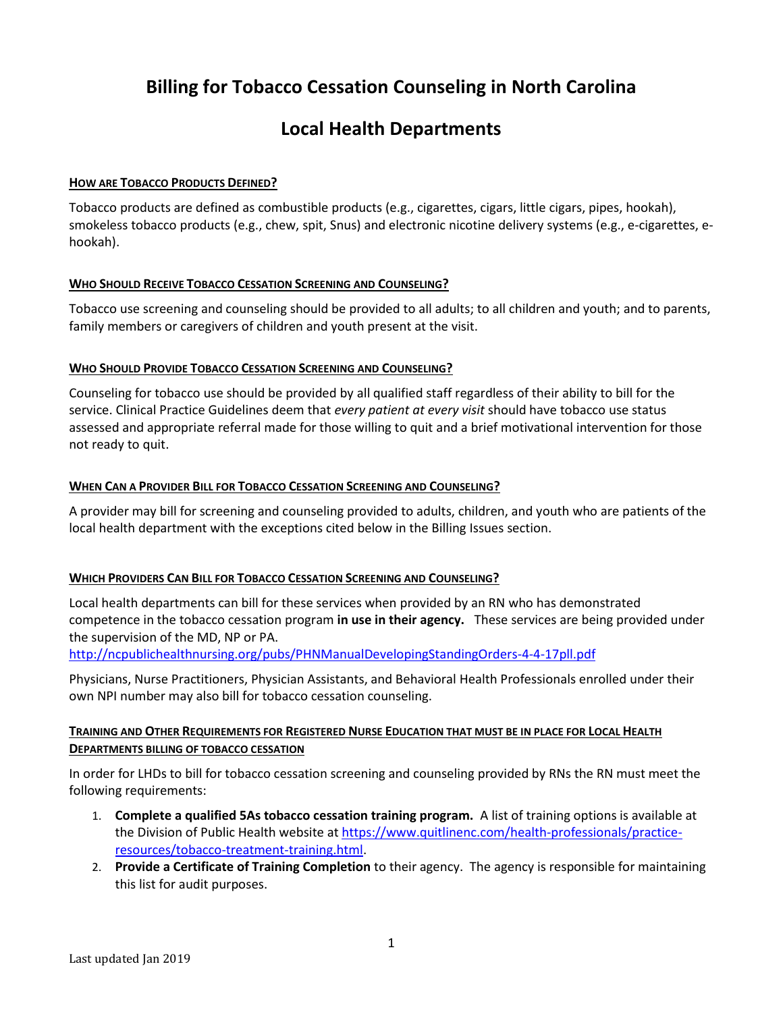# **Billing for Tobacco Cessation Counseling in North Carolina**

## **Local Health Departments**

### **HOW ARE TOBACCO PRODUCTS DEFINED?**

Tobacco products are defined as combustible products (e.g., cigarettes, cigars, little cigars, pipes, hookah), smokeless tobacco products (e.g., chew, spit, Snus) and electronic nicotine delivery systems (e.g., e-cigarettes, ehookah).

### **WHO SHOULD RECEIVE TOBACCO CESSATION SCREENING AND COUNSELING?**

Tobacco use screening and counseling should be provided to all adults; to all children and youth; and to parents, family members or caregivers of children and youth present at the visit.

#### **WHO SHOULD PROVIDE TOBACCO CESSATION SCREENING AND COUNSELING?**

Counseling for tobacco use should be provided by all qualified staff regardless of their ability to bill for the service. Clinical Practice Guidelines deem that *every patient at every visit* should have tobacco use status assessed and appropriate referral made for those willing to quit and a brief motivational intervention for those not ready to quit.

#### **WHEN CAN A PROVIDER BILL FOR TOBACCO CESSATION SCREENING AND COUNSELING?**

A provider may bill for screening and counseling provided to adults, children, and youth who are patients of the local health department with the exceptions cited below in the Billing Issues section.

### **WHICH PROVIDERS CAN BILL FOR TOBACCO CESSATION SCREENING AND COUNSELING?**

Local health departments can bill for these services when provided by an RN who has demonstrated competence in the tobacco cessation program **in use in their agency.** These services are being provided under the supervision of the MD, NP or PA.

<http://ncpublichealthnursing.org/pubs/PHNManualDevelopingStandingOrders-4-4-17pll.pdf>

Physicians, Nurse Practitioners, Physician Assistants, and Behavioral Health Professionals enrolled under their own NPI number may also bill for tobacco cessation counseling.

### **TRAINING AND OTHER REQUIREMENTS FOR REGISTERED NURSE EDUCATION THAT MUST BE IN PLACE FOR LOCAL HEALTH DEPARTMENTS BILLING OF TOBACCO CESSATION**

In order for LHDs to bill for tobacco cessation screening and counseling provided by RNs the RN must meet the following requirements:

- 1. **Complete a qualified 5As tobacco cessation training program.** A list of training options is available at the Division of Public Health website at [https://www.quitlinenc.com/health-professionals/practice](https://www.quitlinenc.com/health-professionals/practice-resources/tobacco-treatment-training.html)[resources/tobacco-treatment-training.html.](https://www.quitlinenc.com/health-professionals/practice-resources/tobacco-treatment-training.html)
- 2. **Provide a Certificate of Training Completion** to their agency. The agency is responsible for maintaining this list for audit purposes.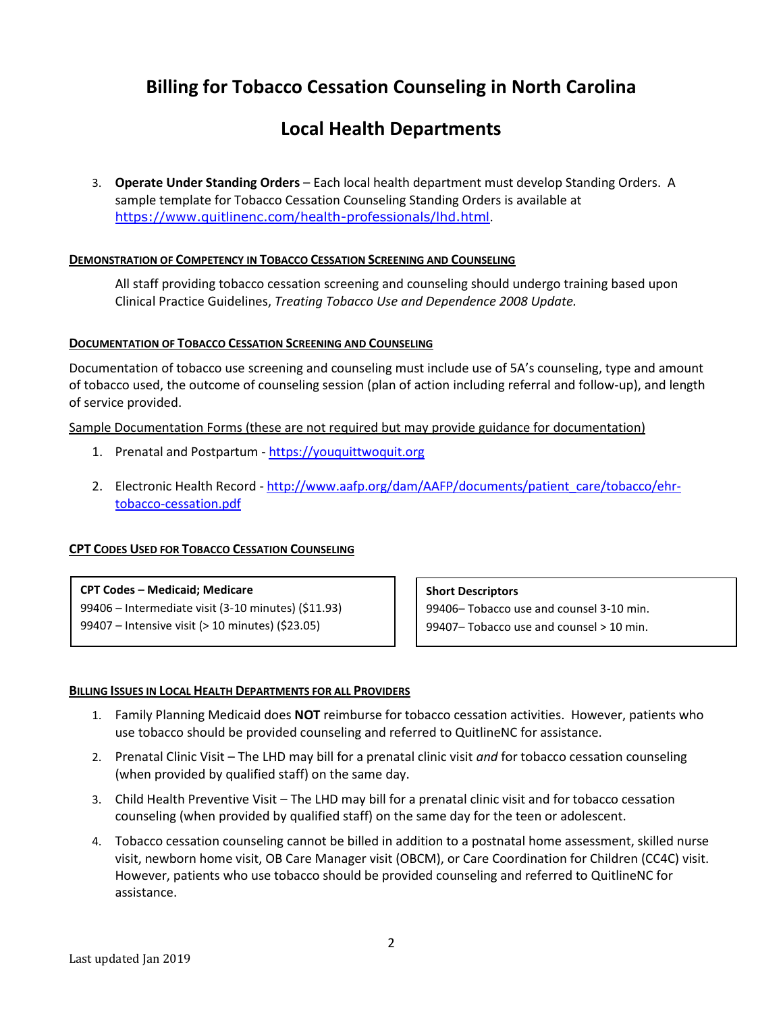## **Billing for Tobacco Cessation Counseling in North Carolina**

## **Local Health Departments**

3. **Operate Under Standing Orders** – Each local health department must develop Standing Orders. A sample template for Tobacco Cessation Counseling Standing Orders is available at <https://www.quitlinenc.com/health-professionals/lhd.html>.

#### **DEMONSTRATION OF COMPETENCY IN TOBACCO CESSATION SCREENING AND COUNSELING**

All staff providing tobacco cessation screening and counseling should undergo training based upon Clinical Practice Guidelines, *Treating Tobacco Use and Dependence 2008 Update.* 

#### **DOCUMENTATION OF TOBACCO CESSATION SCREENING AND COUNSELING**

Documentation of tobacco use screening and counseling must include use of 5A's counseling, type and amount of tobacco used, the outcome of counseling session (plan of action including referral and follow-up), and length of service provided.

Sample Documentation Forms (these are not required but may provide guidance for documentation)

- 1. Prenatal and Postpartum [https://youquittwoquit.org](https://youquittwoquit.org/)
- 2. Electronic Health Record [http://www.aafp.org/dam/AAFP/documents/patient\\_care/tobacco/ehr](http://www.aafp.org/dam/AAFP/documents/patient_care/tobacco/ehr-tobacco-cessation.pdf)[tobacco-cessation.pdf](http://www.aafp.org/dam/AAFP/documents/patient_care/tobacco/ehr-tobacco-cessation.pdf)

#### **CPT CODES USED FOR TOBACCO CESSATION COUNSELING**

#### **CPT Codes – Medicaid; Medicare**

99406 – Intermediate visit (3-10 minutes) (\$11.93) 99407 – Intensive visit (> 10 minutes) (\$23.05)

#### **Short Descriptors**

99406– Tobacco use and counsel 3-10 min. 99407– Tobacco use and counsel > 10 min.

#### **BILLING ISSUES IN LOCAL HEALTH DEPARTMENTS FOR ALL PROVIDERS**

- 1. Family Planning Medicaid does **NOT** reimburse for tobacco cessation activities. However, patients who use tobacco should be provided counseling and referred to QuitlineNC for assistance.
- 2. Prenatal Clinic Visit The LHD may bill for a prenatal clinic visit *and* for tobacco cessation counseling (when provided by qualified staff) on the same day.
- 3. Child Health Preventive Visit The LHD may bill for a prenatal clinic visit and for tobacco cessation counseling (when provided by qualified staff) on the same day for the teen or adolescent.
- 4. Tobacco cessation counseling cannot be billed in addition to a postnatal home assessment, skilled nurse visit, newborn home visit, OB Care Manager visit (OBCM), or Care Coordination for Children (CC4C) visit. However, patients who use tobacco should be provided counseling and referred to QuitlineNC for assistance.